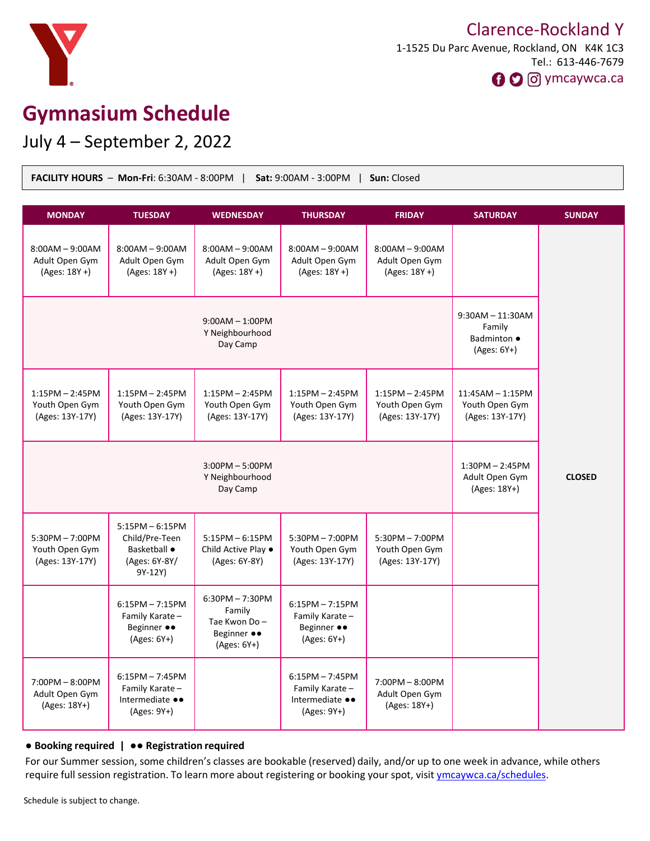

# **Gymnasium Schedule**

July 4 – September 2, 2022

| Sun: Closed<br><b>FACILITY HOURS</b> - Mon-Fri: 6:30AM - 8:00PM $\parallel$ Sat: 9:00AM - 3:00PM $\parallel$ |                                                                                 |                                                                             |                                                                       |                                                        |                                                                     |               |
|--------------------------------------------------------------------------------------------------------------|---------------------------------------------------------------------------------|-----------------------------------------------------------------------------|-----------------------------------------------------------------------|--------------------------------------------------------|---------------------------------------------------------------------|---------------|
| <b>MONDAY</b>                                                                                                | <b>TUESDAY</b>                                                                  | <b>WEDNESDAY</b>                                                            | <b>THURSDAY</b>                                                       | <b>FRIDAY</b>                                          | <b>SATURDAY</b>                                                     | <b>SUNDAY</b> |
| $8:00AM - 9:00AM$<br>Adult Open Gym<br>(Ages: 18Y +)                                                         | $8:00AM - 9:00AM$<br>Adult Open Gym<br>$(Ages: 18Y + )$                         | $8:00AM - 9:00AM$<br>Adult Open Gym<br>(Ages: 18Y +)                        | $8:00AM - 9:00AM$<br>Adult Open Gym<br>$(Ages: 18Y + )$               | $8:00AM - 9:00AM$<br>Adult Open Gym<br>(Ages: 18Y +)   |                                                                     |               |
| $9:00AM - 1:00PM$<br>Y Neighbourhood<br>Day Camp                                                             |                                                                                 |                                                                             |                                                                       |                                                        | $9:30AM - 11:30AM$<br>Family<br><b>Badminton ●</b><br>$(Ages: 6Y+)$ |               |
| $1:15PM - 2:45PM$<br>Youth Open Gym<br>(Ages: 13Y-17Y)                                                       | $1:15PM - 2:45PM$<br>Youth Open Gym<br>(Ages: 13Y-17Y)                          | $1:15PM - 2:45PM$<br>Youth Open Gym<br>(Ages: 13Y-17Y)                      | $1:15PM - 2:45PM$<br>Youth Open Gym<br>(Ages: 13Y-17Y)                | $1:15PM - 2:45PM$<br>Youth Open Gym<br>(Ages: 13Y-17Y) | $11:45AM - 1:15PM$<br>Youth Open Gym<br>(Ages: 13Y-17Y)             |               |
| $3:00PM - 5:00PM$<br>Y Neighbourhood<br>Day Camp                                                             |                                                                                 |                                                                             |                                                                       |                                                        | $1:30PM - 2:45PM$<br>Adult Open Gym<br>(Ages: 18Y+)                 | <b>CLOSED</b> |
| $5:30PM - 7:00PM$<br>Youth Open Gym<br>(Ages: 13Y-17Y)                                                       | $5:15PM - 6:15PM$<br>Child/Pre-Teen<br>Basketball ·<br>(Ages: 6Y-8Y/<br>9Y-12Y) | $5:15PM - 6:15PM$<br>Child Active Play •<br>(Ages: 6Y-8Y)                   | $5:30PM - 7:00PM$<br>Youth Open Gym<br>(Ages: 13Y-17Y)                | $5:30PM - 7:00PM$<br>Youth Open Gym<br>(Ages: 13Y-17Y) |                                                                     |               |
|                                                                                                              | $6:15PM - 7:15PM$<br>Family Karate-<br>Beginner ••<br>$(Ages: 6Y+)$             | $6:30PM - 7:30PM$<br>Family<br>Tae Kwon Do-<br>Beginner ••<br>$(Ages: 6Y+)$ | $6:15PM - 7:15PM$<br>Family Karate-<br>Beginner ••<br>$(Ages: 6Y+)$   |                                                        |                                                                     |               |
| $7:00PM - 8:00PM$<br>Adult Open Gym<br>(Ages: 18Y+)                                                          | $6:15PM - 7:45PM$<br>Family Karate-<br>Intermediate ••<br>(Ages: 9Y+)           |                                                                             | $6:15PM - 7:45PM$<br>Family Karate-<br>Intermediate ••<br>(Ages: 9Y+) | 7:00PM - 8:00PM<br>Adult Open Gym<br>(Ages: 18Y+)      |                                                                     |               |

#### ● **Booking required |** ●● **Registration required**

For our Summer session, some children's classes are bookable (reserved) daily, and/or up to one week in advance, while others require full session registration. To learn more about registering or booking your spot, visit [ymcaywca.ca/schedules](https://www.ymcaywca.ca/health-fitness/schedules/).